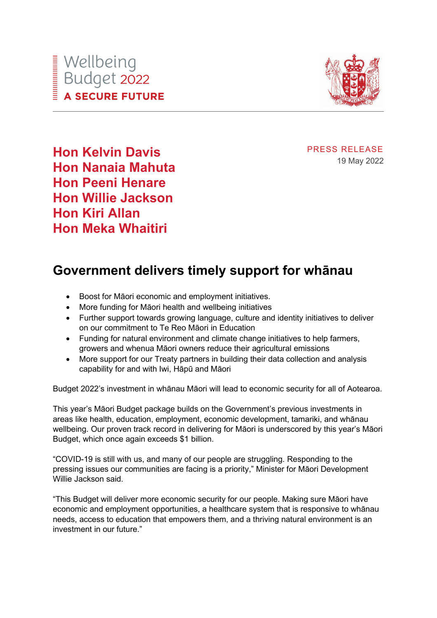

PRESS RELEASE 19 May 2022

**Hon Kelvin Davis Hon Nanaia Mahuta Hon Peeni Henare Hon Willie Jackson Hon Kiri Allan Hon Meka Whaitiri**

# **Government delivers timely support for whānau**

- Boost for Māori economic and employment initiatives.
- More funding for Māori health and wellbeing initiatives
- Further support towards growing language, culture and identity initiatives to deliver on our commitment to Te Reo Māori in Education
- Funding for natural environment and climate change initiatives to help farmers, growers and whenua Māori owners reduce their agricultural emissions
- More support for our Treaty partners in building their data collection and analysis capability for and with Iwi, Hāpū and Māori

Budget 2022's investment in whānau Māori will lead to economic security for all of Aotearoa.

This year's Māori Budget package builds on the Government's previous investments in areas like health, education, employment, economic development, tamariki, and whānau wellbeing. Our proven track record in delivering for Māori is underscored by this year's Māori Budget, which once again exceeds \$1 billion.

"COVID-19 is still with us, and many of our people are struggling. Responding to the pressing issues our communities are facing is a priority," Minister for Māori Development Willie Jackson said.

"This Budget will deliver more economic security for our people. Making sure Māori have economic and employment opportunities, a healthcare system that is responsive to whānau needs, access to education that empowers them, and a thriving natural environment is an investment in our future."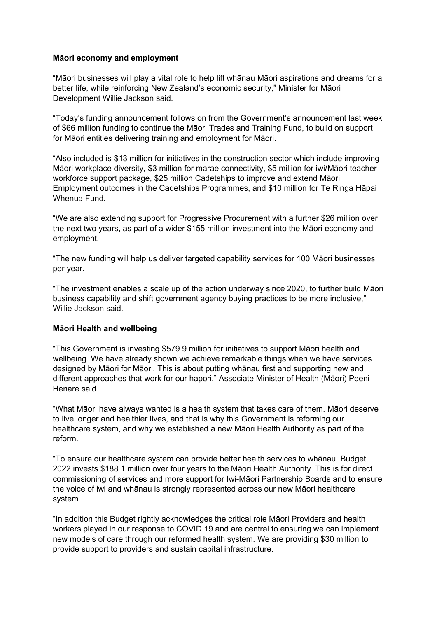## **Māori economy and employment**

"Māori businesses will play a vital role to help lift whānau Māori aspirations and dreams for a better life, while reinforcing New Zealand's economic security," Minister for Māori Development Willie Jackson said.

"Today's funding announcement follows on from the Government's announcement last week of \$66 million funding to continue the Māori Trades and Training Fund, to build on support for Māori entities delivering training and employment for Māori.

"Also included is \$13 million for initiatives in the construction sector which include improving Māori workplace diversity, \$3 million for marae connectivity, \$5 million for iwi/Māori teacher workforce support package, \$25 million Cadetships to improve and extend Māori Employment outcomes in the Cadetships Programmes, and \$10 million for Te Ringa Hāpai Whenua Fund.

"We are also extending support for Progressive Procurement with a further \$26 million over the next two years, as part of a wider \$155 million investment into the Māori economy and employment.

"The new funding will help us deliver targeted capability services for 100 Māori businesses per year.

"The investment enables a scale up of the action underway since 2020, to further build Māori business capability and shift government agency buying practices to be more inclusive," Willie Jackson said.

## **Māori Health and wellbeing**

"This Government is investing \$579.9 million for initiatives to support Māori health and wellbeing. We have already shown we achieve remarkable things when we have services designed by Māori for Māori. This is about putting whānau first and supporting new and different approaches that work for our hapori," Associate Minister of Health (Māori) Peeni Henare said.

"What Māori have always wanted is a health system that takes care of them. Māori deserve to live longer and healthier lives, and that is why this Government is reforming our healthcare system, and why we established a new Māori Health Authority as part of the reform.

"To ensure our healthcare system can provide better health services to whānau, Budget 2022 invests \$188.1 million over four years to the Māori Health Authority. This is for direct commissioning of services and more support for Iwi-Māori Partnership Boards and to ensure the voice of iwi and whānau is strongly represented across our new Māori healthcare system.

"In addition this Budget rightly acknowledges the critical role Māori Providers and health workers played in our response to COVID 19 and are central to ensuring we can implement new models of care through our reformed health system. We are providing \$30 million to provide support to providers and sustain capital infrastructure.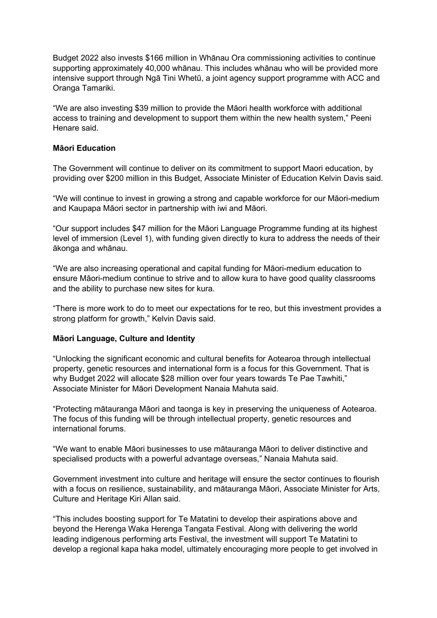Budget 2022 also invests \$166 million in Whānau Ora commissioning activities to continue supporting approximately 40,000 whānau. This includes whānau who will be provided more intensive support through Ngā Tini Whetū, a joint agency support programme with ACC and Oranga Tamariki.

"We are also investing \$39 million to provide the Māori health workforce with additional access to training and development to support them within the new health system," Peeni Henare said.

### **Māori Education**

The Government will continue to deliver on its commitment to support Maori education, by providing over \$200 million in this Budget, Associate Minister of Education Kelvin Davis said.

"We will continue to invest in growing a strong and capable workforce for our Māori-medium and Kaupapa Māori sector in partnership with iwi and Māori.

"Our support includes \$47 million for the Māori Language Programme funding at its highest level of immersion (Level 1), with funding given directly to kura to address the needs of their ākonga and whānau.

"We are also increasing operational and capital funding for Māori-medium education to ensure Māori-medium continue to strive and to allow kura to have good quality classrooms and the ability to purchase new sites for kura.

"There is more work to do to meet our expectations for te reo, but this investment provides a strong platform for growth," Kelvin Davis said.

#### **Māori Language, Culture and Identity**

"Unlocking the significant economic and cultural benefits for Aotearoa through intellectual property, genetic resources and international form is a focus for this Government. That is why Budget 2022 will allocate \$28 million over four years towards Te Pae Tawhiti," Associate Minister for Māori Development Nanaia Mahuta said.

"Protecting mātauranga Māori and taonga is key in preserving the uniqueness of Aotearoa. The focus of this funding will be through intellectual property, genetic resources and international forums.

"We want to enable Māori businesses to use mātauranga Māori to deliver distinctive and specialised products with a powerful advantage overseas," Nanaia Mahuta said.

Government investment into culture and heritage will ensure the sector continues to flourish with a focus on resilience, sustainability, and mātauranga Māori, Associate Minister for Arts, Culture and Heritage Kiri Allan said.

"This includes boosting support for Te Matatini to develop their aspirations above and beyond the Herenga Waka Herenga Tangata Festival. Along with delivering the world leading indigenous performing arts Festival, the investment will support Te Matatini to develop a regional kapa haka model, ultimately encouraging more people to get involved in